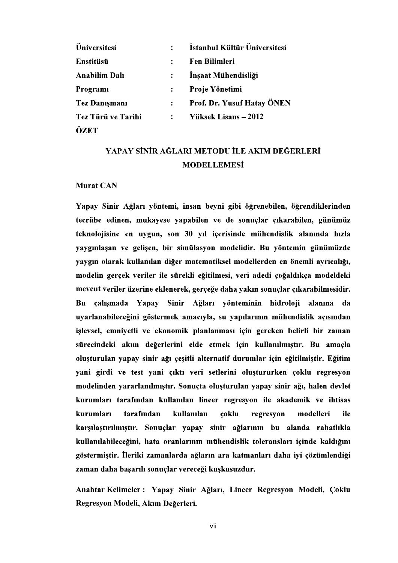| Üniversitesi         | $\ddot{\cdot}$ | İstanbul Kültür Üniversitesi |
|----------------------|----------------|------------------------------|
| Enstitüsü            | $\ddot{\cdot}$ | <b>Fen Bilimleri</b>         |
| <b>Anabilim Dalı</b> | $\ddot{\cdot}$ | İnşaat Mühendisliği          |
| Programi             | $\ddot{\cdot}$ | Proje Yönetimi               |
| <b>Tez Danışmanı</b> | $\ddot{\cdot}$ | Prof. Dr. Yusuf Hatay ÖNEN   |
| Tez Türü ve Tarihi   | $\ddot{\cdot}$ | Yüksek Lisans - 2012         |
| ÖZET                 |                |                              |

## YAPAY SİNİR AĞLARI METODU İLE AKIM DEĞERLERİ **MODELLEMESİ**

## Murat CAN

Yapay Sinir Ağları yöntemi, insan beyni gibi öğrenebilen, öğrendiklerinden tecrübe edinen, mukayese yapabilen ve de sonuçlar çıkarabilen, günümüz teknolojisine en uygun, son 30 yıl içerisinde mühendislik alanında hızla yaygınlaşan ve gelişen, bir simülasyon modelidir. Bu yöntemin günümüzde yaygın olarak kullanılan diğer matematiksel modellerden en önemli ayrıcalığı, modelin gerçek veriler ile sürekli eğitilmesi, veri adedi çoğaldıkça modeldeki mevcut veriler üzerine eklenerek, gerçeğe daha yakın sonuçlar çıkarabilmesidir. çalışmada Yapay Sinir Ağları yönteminin hidroloji alanına Bu da uyarlanabileceğini göstermek amacıyla, su yapılarının mühendislik açısından islevsel, emniyetli ve ekonomik planlanması için gereken belirli bir zaman sürecindeki akım değerlerini elde etmek için kullanılmıştır. Bu amaçla oluşturulan yapay sinir ağı çeşitli alternatif durumlar için eğitilmiştir. Eğitim n<sub>n</sub> modelinden vararlanılmıştır. Sonuçta oluşturulan yapay sinir ağı, halen devlet kurumları tarafından kullanılan lineer regresyon ile akademik ve ihtisas kurumları tarafından kullanılan coklu modelleri regresvon ile karşılaştırılmıştır. Sonuçlar yapay sinir ağlarının bu alanda rahatlıkla kullanılabileceğini, hata oranlarının mühendislik toleransları içinde kaldığını göstermiştir. İleriki zamanlarda ağların ara katmanları daha iyi çözümlendiği zaman daha başarılı sonuçlar vereceği kuşkusuzdur.

Anahtar Kelimeler : Yapay Sinir Ağları, Lineer Regresyon Modeli, Coklu Regresyon Modeli, Akım Değerleri.